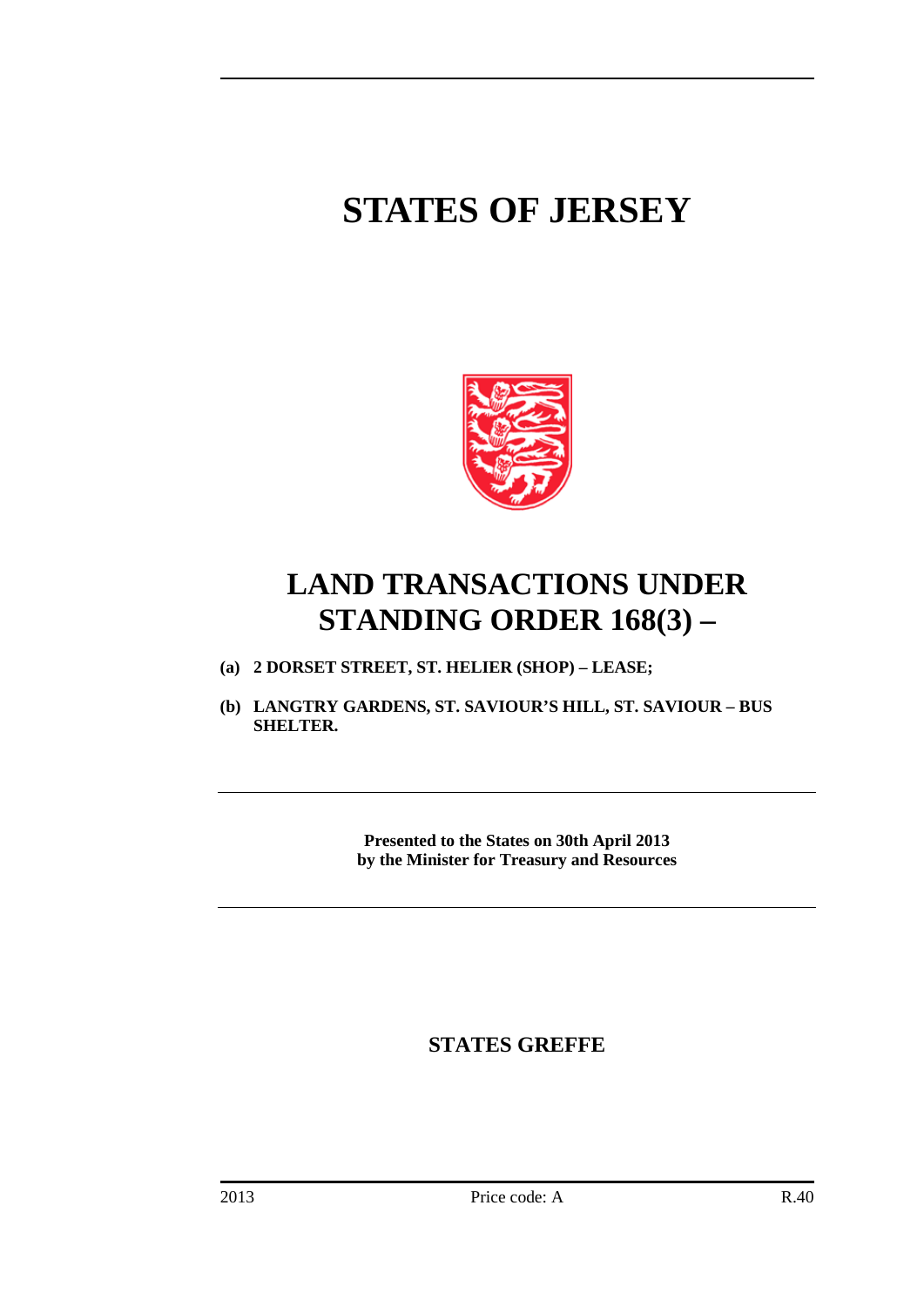# **STATES OF JERSEY**



## **LAND TRANSACTIONS UNDER STANDING ORDER 168(3) –**

- **(a) 2 DORSET STREET, ST. HELIER (SHOP) – LEASE;**
- **(b) LANGTRY GARDENS, ST. SAVIOUR'S HILL, ST. SAVIOUR – BUS SHELTER.**

**Presented to the States on 30th April 2013 by the Minister for Treasury and Resources**

**STATES GREFFE**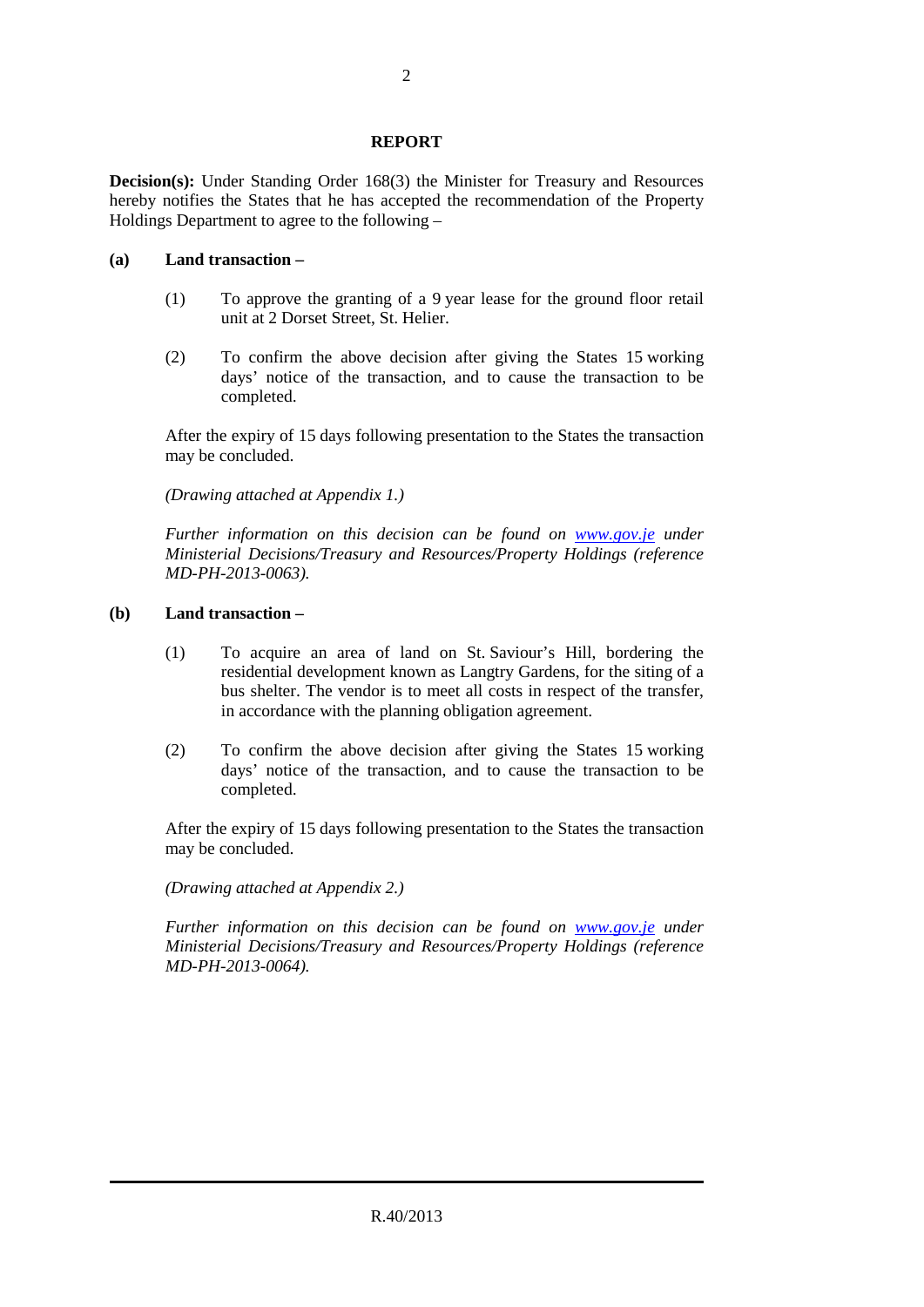### **REPORT**

**Decision(s):** Under Standing Order 168(3) the Minister for Treasury and Resources hereby notifies the States that he has accepted the recommendation of the Property Holdings Department to agree to the following –

#### **(a) Land transaction –**

- (1) To approve the granting of a 9 year lease for the ground floor retail unit at 2 Dorset Street, St. Helier.
- (2) To confirm the above decision after giving the States 15 working days' notice of the transaction, and to cause the transaction to be completed.

After the expiry of 15 days following presentation to the States the transaction may be concluded.

*(Drawing attached at Appendix 1.)*

*Further information on this decision can be found on <i>[www.gov.je](http://www.gov.je/)* under *Ministerial Decisions/Treasury and Resources/Property Holdings (reference MD-PH-2013-0063).*

### **(b) Land transaction –**

- (1) To acquire an area of land on St. Saviour's Hill, bordering the residential development known as Langtry Gardens, for the siting of a bus shelter. The vendor is to meet all costs in respect of the transfer, in accordance with the planning obligation agreement.
- (2) To confirm the above decision after giving the States 15 working days' notice of the transaction, and to cause the transaction to be completed.

After the expiry of 15 days following presentation to the States the transaction may be concluded.

*(Drawing attached at Appendix 2.)*

*Further information on this decision can be found on [www.gov.je](http://www.gov.je/) under Ministerial Decisions/Treasury and Resources/Property Holdings (reference MD-PH-2013-0064).*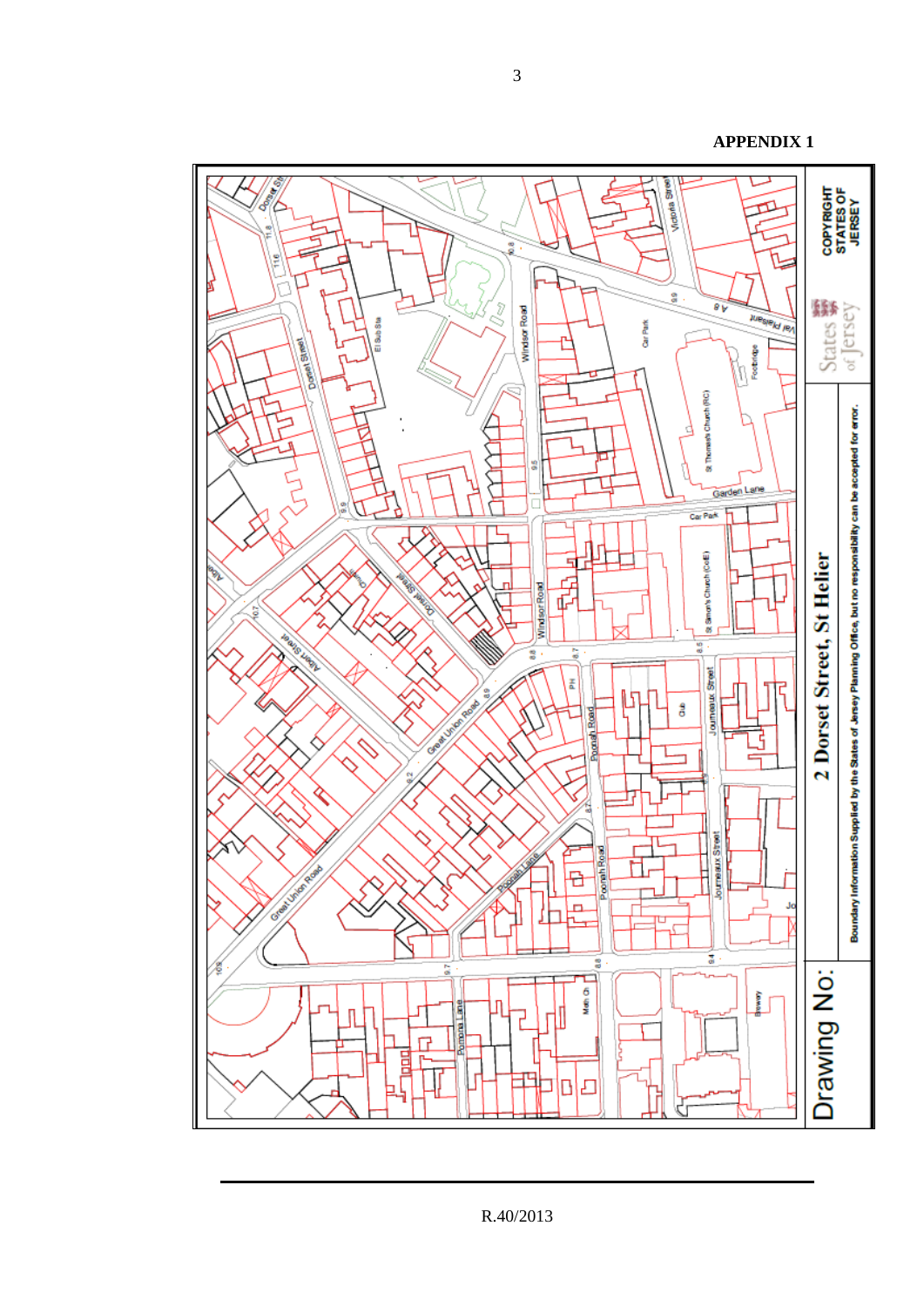/JA Victoria Street COPYRIGHT<br>STATES OF<br>JERSEY o<br>oi **驟**<br>States øŷ วิ Windsor Road **NIBSIBILITY** El Sub Sta Car Park **Alliance** 1 Footnique Thomas's Church (RC) Boundary Information Supplied by the States of Jersey Planning Office, but no responsibility can be accepted for error. È Garden Lane Car Park Щ St Simon's Church (CoE) 2 Dorset Street, St Helier 517 中中 Windsor Road **MS MAR** 8 37 88 oumeaux Street Ā ٦ ξ g ឋ reda<br>S å Poort Road e digital<br>Sidap ß d ı, Journeaux Street Poorah Road D  $\frac{1}{1}$ Ð **Creative** n. Jo r. T 8 ā Drawing No: Ò Meth<sub>On</sub> **Element Pompre** Lane Л J  $\Box$ 멸 玭 凸 D

R.40/2013

3

**APPENDIX 1**